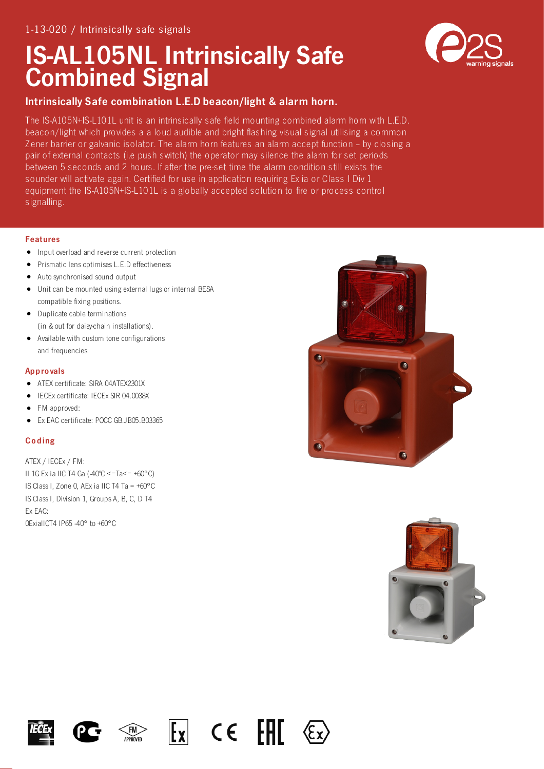# IS-AL105NL Intrinsically Safe Combined Signal



# Intrinsically Safe combination L.E.D beacon/light & alarm horn.

The IS-A105N+IS-L101L unit is an intrinsically safe field mounting combined alarm horn with L.E.D. beacon/light which provides a a loud audible and bright flashing visual signal utilising a common Z ener barrier or galvanic isolator. The alarm horn features an alarm accept function – by closing a pair of external contacts (i.e push switch) the operator may silence the alarm for set periods between 5 seconds and 2 hours. If after the pre-set time the alarm condition still exists the sounder will activate again. Certified for use in application requiring Ex ia or Class I Div 1 equipment the IS-A105N+IS-L101L is a globally accepted solution to fire or process control signalling.

## Features

- Input overload and reverse current protection
- Prismatic lens optimises L.E.D effectiveness
- Auto synchronised sound output
- Unit can be mounted using external lugs or internal BESA compatible fixing positions.
- Duplicate cable terminations (in & out for daisy-chain installations).
- Available with custom tone configurations and frequencies.

# Appro vals

- ATEX certificate: SIRA 04ATEX2301X
- IECEx certificate: IECEx SIR 04.0038X
- FM approved:
- Ex EAC certificate: POCC GB.JB05.B03365  $\bullet$

# **Coding**

ATEX / IECEx / FM: II 1G Ex ia IIC T4 Ga (-40ºC <=Ta<= +60°C) IS Class I, Zone 0, AEx ia IIC T4 Ta = +60°C IS Class l, Division 1, Groups A, B, C, D T4 Ex EAC: 0ExiaIICT4 IP65 -40° to +60°C











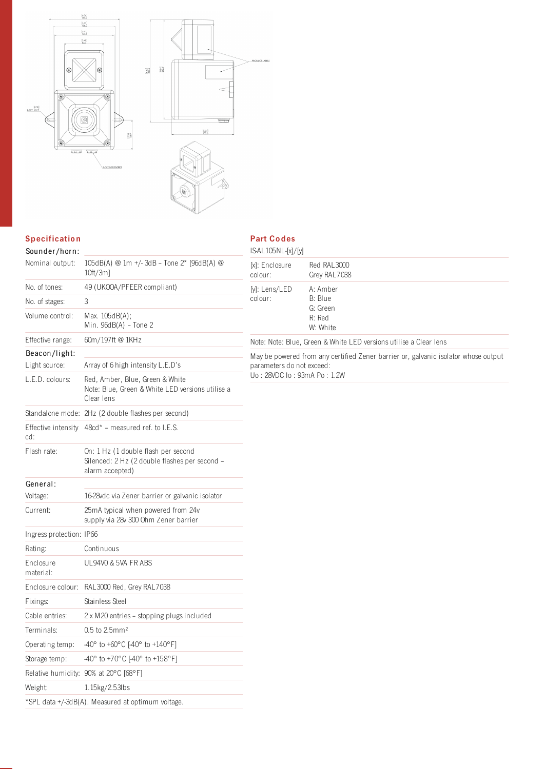

# **Specification**

## Part Co des IS-AL105NL-[x]/[y]

| Sounder/horn:            |                                                                                                         | ISAL105NL-[x]/[y]                                                                  |                                |  |
|--------------------------|---------------------------------------------------------------------------------------------------------|------------------------------------------------------------------------------------|--------------------------------|--|
| Nominal output:          | 105dB(A) @ 1m +/-3dB - Tone 2* [96dB(A) @<br>$10ft/3m$ ]                                                | [x]: Enclosure<br>colour:                                                          | Red RAL3000<br>Grey RAL7038    |  |
| No. of tones:            | 49 (UKOOA/PFEER compliant)                                                                              | [y]: Lens/LED                                                                      | A: Amber                       |  |
| No. of stages:           | 3                                                                                                       | colour:                                                                            | B: Blue                        |  |
| Volume control:          | Max. 105dB(A);<br>Min. 96dB(A) - Tone 2                                                                 |                                                                                    | G: Green<br>R: Red<br>W: White |  |
| Effective range:         | 60m/197ft @ 1KHz                                                                                        | Note: Note: Blue, Green & White LED versions utilise a Clear lens                  |                                |  |
| Beacon/light:            |                                                                                                         | May be powered from any certified Zener barrier or, galvanic isolator whose output |                                |  |
| Light source:            | Array of 6 high intensity L.E.D's                                                                       | parameters do not exceed:<br>Uo: 28VDC lo: 93mA Po: 1.2W                           |                                |  |
| L.E.D. colours:          | Red, Amber, Blue, Green & White<br>Note: Blue, Green & White LED versions utilise a<br>Clear lens       |                                                                                    |                                |  |
|                          | Standalone mode: 2Hz (2 double flashes per second)                                                      |                                                                                    |                                |  |
| cd:                      | Effective intensity 48cd* – measured ref. to I.E.S.                                                     |                                                                                    |                                |  |
| Flash rate:              | On: 1 Hz (1 double flash per second<br>Silenced: 2 Hz (2 double flashes per second -<br>alarm accepted) |                                                                                    |                                |  |
| General:                 |                                                                                                         |                                                                                    |                                |  |
| Voltage:                 | 16-28vdc via Zener barrier or galvanic isolator                                                         |                                                                                    |                                |  |
| Current:                 | 25mA typical when powered from 24v<br>supply via 28v 300 Ohm Zener barrier                              |                                                                                    |                                |  |
| Ingress protection: IP66 |                                                                                                         |                                                                                    |                                |  |
| Rating:                  | Continuous                                                                                              |                                                                                    |                                |  |
| Enclosure<br>material:   | UL94VO & 5VA FR ABS                                                                                     |                                                                                    |                                |  |
|                          | Enclosure colour: RAL3000 Red, Grey RAL7038                                                             |                                                                                    |                                |  |
| Fixings:                 | Stainless Steel                                                                                         |                                                                                    |                                |  |
| Cable entries:           | 2 x M20 entries - stopping plugs included                                                               |                                                                                    |                                |  |
| Terminals:               | 0.5 to 2.5mm <sup>2</sup>                                                                               |                                                                                    |                                |  |
| Operating temp:          | $-40^{\circ}$ to +60°C [-40° to +140°F]                                                                 |                                                                                    |                                |  |
| Storage temp:            | -40° to +70°C [-40° to +158°F]                                                                          |                                                                                    |                                |  |
|                          | Relative humidity: 90% at 20°C [68°F]                                                                   |                                                                                    |                                |  |
| Weight:                  | $1.15$ kg/2.53lbs                                                                                       |                                                                                    |                                |  |
|                          | *SPL data +/-3dB(A). Measured at optimum voltage.                                                       |                                                                                    |                                |  |